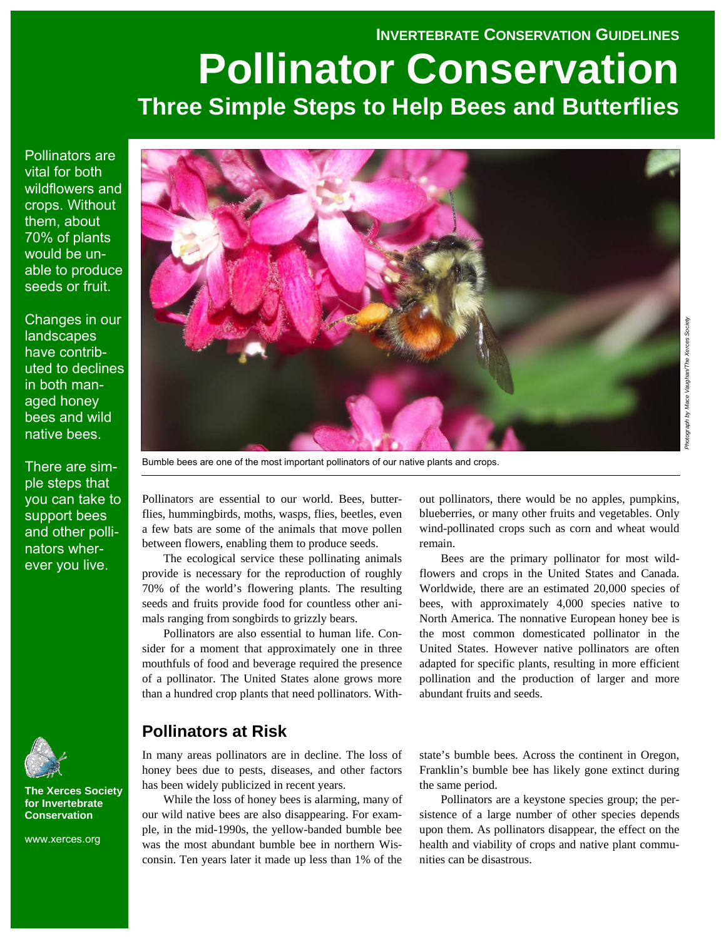## **INVERTEBRATE CONSERVATION GUIDELINES**

# **Pollinator Conservation Three Simple Steps to Help Bees and Butterflies**

Pollinators are vital for both wildflowers and crops. Without them, about 70% of plants would be unable to produce seeds or fruit.

Changes in our **landscapes** have contributed to declines in both managed honey bees and wild native bees.

There are simple steps that you can take to support bees and other pollinators wherever you live.



**The Xerces Society for Invertebrate Conservation** 

www.xerces.org



Bumble bees are one of the most important pollinators of our native plants and crops.

Pollinators are essential to our world. Bees, butterflies, hummingbirds, moths, wasps, flies, beetles, even a few bats are some of the animals that move pollen between flowers, enabling them to produce seeds.

The ecological service these pollinating animals provide is necessary for the reproduction of roughly 70% of the world's flowering plants. The resulting seeds and fruits provide food for countless other animals ranging from songbirds to grizzly bears.

Pollinators are also essential to human life. Consider for a moment that approximately one in three mouthfuls of food and beverage required the presence of a pollinator. The United States alone grows more than a hundred crop plants that need pollinators. With-

# **Pollinators at Risk**

In many areas pollinators are in decline. The loss of honey bees due to pests, diseases, and other factors has been widely publicized in recent years.

While the loss of honey bees is alarming, many of our wild native bees are also disappearing. For example, in the mid-1990s, the yellow-banded bumble bee was the most abundant bumble bee in northern Wisconsin. Ten years later it made up less than 1% of the

out pollinators, there would be no apples, pumpkins, blueberries, or many other fruits and vegetables. Only wind-pollinated crops such as corn and wheat would remain.

Bees are the primary pollinator for most wildflowers and crops in the United States and Canada. Worldwide, there are an estimated 20,000 species of bees, with approximately 4,000 species native to North America. The nonnative European honey bee is the most common domesticated pollinator in the United States. However native pollinators are often adapted for specific plants, resulting in more efficient pollination and the production of larger and more abundant fruits and seeds.

state's bumble bees. Across the continent in Oregon, Franklin's bumble bee has likely gone extinct during the same period.

Pollinators are a keystone species group; the persistence of a large number of other species depends upon them. As pollinators disappear, the effect on the health and viability of crops and native plant communities can be disastrous.